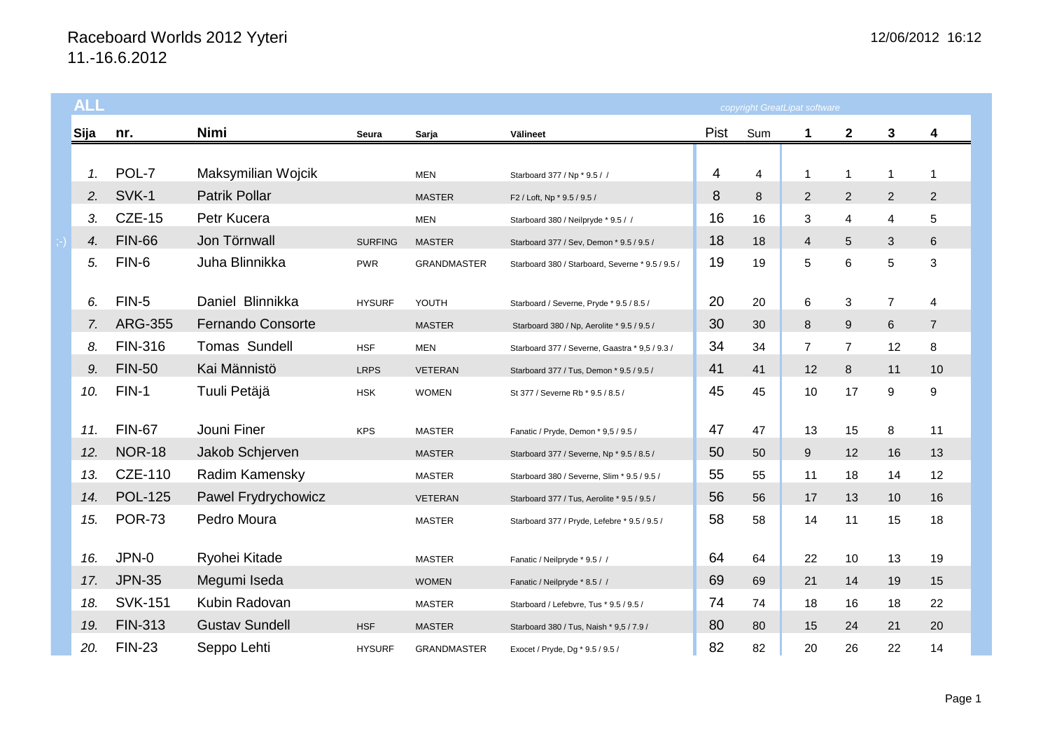## Raceboard Worlds 2012 Yyteri 11.-16.6.2012

| <b>ALL</b> |                | copyright GreatLipat software |                |                    |                                                  |      |     |                |                |                |                |
|------------|----------------|-------------------------------|----------------|--------------------|--------------------------------------------------|------|-----|----------------|----------------|----------------|----------------|
| Sija       | nr.            | Nimi                          | Seura          | Sarja              | Välineet                                         | Pist | Sum | 1              | $\mathbf{2}$   | 3              | 4              |
|            |                |                               |                |                    |                                                  |      |     |                |                |                |                |
| 1.         | POL-7          | Maksymilian Wojcik            |                | <b>MEN</b>         | Starboard 377 / Np * 9.5 / /                     | 4    | 4   | 1              | 1              | 1              | 1              |
| 2.         | SVK-1          | <b>Patrik Pollar</b>          |                | <b>MASTER</b>      | F2 / Loft, Np * 9.5 / 9.5 /                      | 8    | 8   | $\overline{2}$ | $\overline{2}$ | $\overline{2}$ | $\overline{2}$ |
| 3.         | <b>CZE-15</b>  | Petr Kucera                   |                | <b>MEN</b>         | Starboard 380 / Neilpryde * 9.5 / /              | 16   | 16  | 3              | 4              | 4              | 5              |
| 4.         | <b>FIN-66</b>  | Jon Törnwall                  | <b>SURFING</b> | <b>MASTER</b>      | Starboard 377 / Sev, Demon * 9.5 / 9.5 /         | 18   | 18  | $\overline{4}$ | 5              | 3              | 6              |
| 5.         | FIN-6          | Juha Blinnikka                | <b>PWR</b>     | <b>GRANDMASTER</b> | Starboard 380 / Starboard, Severne * 9.5 / 9.5 / | 19   | 19  | 5              | 6              | 5              | 3              |
| 6.         | FIN-5          | Daniel Blinnikka              | <b>HYSURF</b>  | YOUTH              | Starboard / Severne, Pryde * 9.5 / 8.5 /         | 20   | 20  | 6              | 3              | $\overline{7}$ | 4              |
| 7.         | <b>ARG-355</b> | <b>Fernando Consorte</b>      |                | <b>MASTER</b>      | Starboard 380 / Np, Aerolite * 9.5 / 9.5 /       | 30   | 30  | 8              | 9              | 6              | $\overline{7}$ |
| 8.         | <b>FIN-316</b> | Tomas Sundell                 | <b>HSF</b>     | <b>MEN</b>         | Starboard 377 / Severne, Gaastra * 9,5 / 9.3 /   | 34   | 34  | $\overline{7}$ | $\overline{7}$ | 12             | 8              |
| 9.         | <b>FIN-50</b>  | Kai Männistö                  | <b>LRPS</b>    | <b>VETERAN</b>     | Starboard 377 / Tus, Demon * 9.5 / 9.5 /         | 41   | 41  | 12             | 8              | 11             | 10             |
| 10.        | $FIN-1$        | Tuuli Petäjä                  | <b>HSK</b>     | <b>WOMEN</b>       | St 377 / Severne Rb * 9.5 / 8.5 /                | 45   | 45  | 10             | 17             | 9              | 9              |
| 11.        | <b>FIN-67</b>  | Jouni Finer                   | <b>KPS</b>     | <b>MASTER</b>      | Fanatic / Pryde, Demon * 9,5 / 9.5 /             | 47   | 47  | 13             | 15             | 8              | 11             |
| 12.        | <b>NOR-18</b>  | Jakob Schjerven               |                | <b>MASTER</b>      | Starboard 377 / Severne, Np * 9.5 / 8.5 /        | 50   | 50  | 9              | 12             | 16             | 13             |
| 13.        | CZE-110        | Radim Kamensky                |                | <b>MASTER</b>      | Starboard 380 / Severne, Slim * 9.5 / 9.5 /      | 55   | 55  | 11             | 18             | 14             | 12             |
| 14.        | <b>POL-125</b> | Pawel Frydrychowicz           |                | <b>VETERAN</b>     | Starboard 377 / Tus, Aerolite * 9.5 / 9.5 /      | 56   | 56  | 17             | 13             | 10             | 16             |
| 15.        | <b>POR-73</b>  | Pedro Moura                   |                | <b>MASTER</b>      | Starboard 377 / Pryde, Lefebre * 9.5 / 9.5 /     | 58   | 58  | 14             | 11             | 15             | 18             |
| 16.        | JPN-0          | Ryohei Kitade                 |                | <b>MASTER</b>      | Fanatic / Neilpryde * 9.5 / /                    | 64   | 64  | 22             | 10             | 13             | 19             |
| 17.        | <b>JPN-35</b>  | Megumi Iseda                  |                | <b>WOMEN</b>       | Fanatic / Neilpryde * 8.5 / /                    | 69   | 69  | 21             | 14             | 19             | 15             |
| 18.        | <b>SVK-151</b> | Kubin Radovan                 |                | <b>MASTER</b>      | Starboard / Lefebvre, Tus * 9.5 / 9.5 /          | 74   | 74  | 18             | 16             | 18             | 22             |
| 19.        | <b>FIN-313</b> | <b>Gustav Sundell</b>         | <b>HSF</b>     | <b>MASTER</b>      | Starboard 380 / Tus, Naish * 9,5 / 7.9 /         | 80   | 80  | 15             | 24             | 21             | 20             |
| 20.        | <b>FIN-23</b>  | Seppo Lehti                   | <b>HYSURF</b>  | <b>GRANDMASTER</b> | Exocet / Pryde, Dg * 9.5 / 9.5 /                 | 82   | 82  | 20             | 26             | 22             | 14             |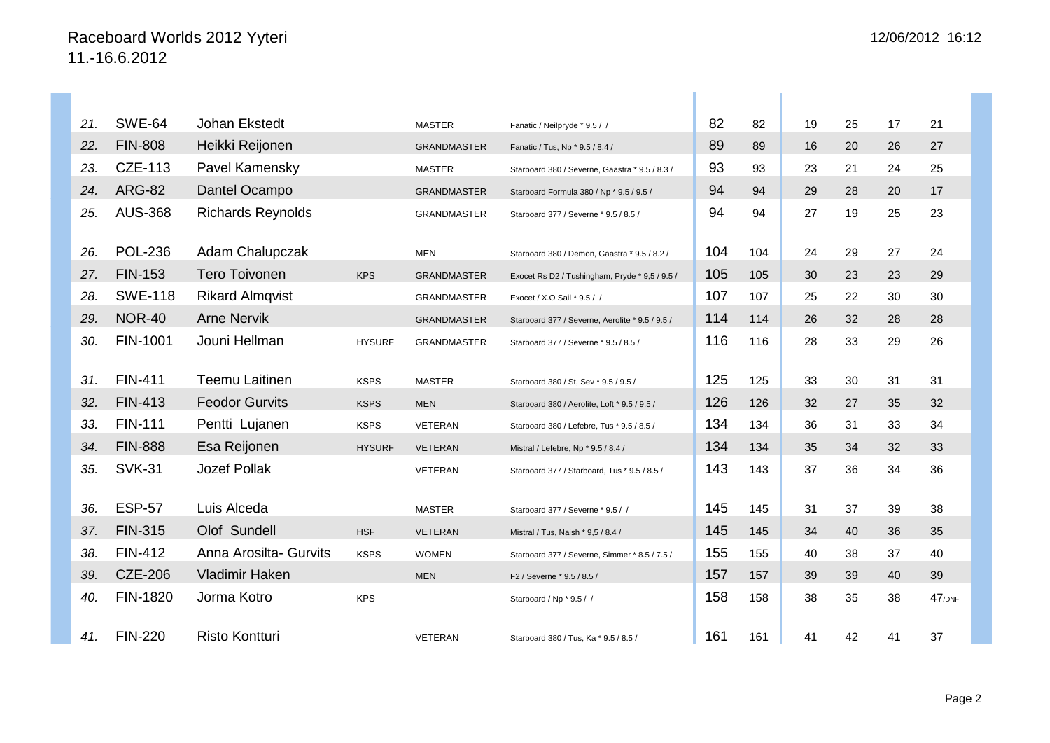| 21. | <b>SWE-64</b>  | Johan Ekstedt            |               | <b>MASTER</b>      | Fanatic / Neilpryde * 9.5 / /                   | 82  | 82  | 19 | 25 | 17 | 21        |
|-----|----------------|--------------------------|---------------|--------------------|-------------------------------------------------|-----|-----|----|----|----|-----------|
| 22. | <b>FIN-808</b> | Heikki Reijonen          |               | <b>GRANDMASTER</b> | Fanatic / Tus, Np * 9.5 / 8.4 /                 | 89  | 89  | 16 | 20 | 26 | 27        |
| 23. | CZE-113        | Pavel Kamensky           |               | <b>MASTER</b>      | Starboard 380 / Severne, Gaastra * 9.5 / 8.3 /  | 93  | 93  | 23 | 21 | 24 | 25        |
| 24. | <b>ARG-82</b>  | Dantel Ocampo            |               | <b>GRANDMASTER</b> | Starboard Formula 380 / Np * 9.5 / 9.5 /        | 94  | 94  | 29 | 28 | 20 | 17        |
| 25. | <b>AUS-368</b> | <b>Richards Reynolds</b> |               | <b>GRANDMASTER</b> | Starboard 377 / Severne * 9.5 / 8.5 /           | 94  | 94  | 27 | 19 | 25 | 23        |
| 26. | <b>POL-236</b> | Adam Chalupczak          |               | <b>MEN</b>         | Starboard 380 / Demon, Gaastra * 9.5 / 8.2 /    | 104 | 104 | 24 | 29 | 27 | 24        |
| 27. | <b>FIN-153</b> | <b>Tero Toivonen</b>     | <b>KPS</b>    | <b>GRANDMASTER</b> | Exocet Rs D2 / Tushingham, Pryde * 9,5 / 9.5 /  | 105 | 105 | 30 | 23 | 23 | 29        |
| 28. | <b>SWE-118</b> | <b>Rikard Almqvist</b>   |               | <b>GRANDMASTER</b> | Exocet / X.O Sail * 9.5 / /                     | 107 | 107 | 25 | 22 | 30 | 30        |
| 29. | <b>NOR-40</b>  | <b>Arne Nervik</b>       |               | <b>GRANDMASTER</b> | Starboard 377 / Severne, Aerolite * 9.5 / 9.5 / | 114 | 114 | 26 | 32 | 28 | 28        |
| 30. | FIN-1001       | Jouni Hellman            | <b>HYSURF</b> | <b>GRANDMASTER</b> | Starboard 377 / Severne * 9.5 / 8.5 /           | 116 | 116 | 28 | 33 | 29 | 26        |
| 31. | <b>FIN-411</b> | <b>Teemu Laitinen</b>    | <b>KSPS</b>   | <b>MASTER</b>      | Starboard 380 / St, Sev * 9.5 / 9.5 /           | 125 | 125 | 33 | 30 | 31 | 31        |
| 32. | <b>FIN-413</b> | <b>Feodor Gurvits</b>    | <b>KSPS</b>   | <b>MEN</b>         | Starboard 380 / Aerolite, Loft * 9.5 / 9.5 /    | 126 | 126 | 32 | 27 | 35 | 32        |
| 33. | <b>FIN-111</b> | Pentti Lujanen           | <b>KSPS</b>   | <b>VETERAN</b>     | Starboard 380 / Lefebre, Tus * 9.5 / 8.5 /      | 134 | 134 | 36 | 31 | 33 | 34        |
| 34. | <b>FIN-888</b> | Esa Reijonen             | <b>HYSURF</b> | <b>VETERAN</b>     | Mistral / Lefebre, Np * 9.5 / 8.4 /             | 134 | 134 | 35 | 34 | 32 | 33        |
| 35. | <b>SVK-31</b>  | <b>Jozef Pollak</b>      |               | VETERAN            | Starboard 377 / Starboard, Tus * 9.5 / 8.5 /    | 143 | 143 | 37 | 36 | 34 | 36        |
| 36. | <b>ESP-57</b>  | Luis Alceda              |               | <b>MASTER</b>      | Starboard 377 / Severne * 9.5 / /               | 145 | 145 | 31 | 37 | 39 | 38        |
| 37. | <b>FIN-315</b> | Olof Sundell             | <b>HSF</b>    | <b>VETERAN</b>     | Mistral / Tus, Naish * 9,5 / 8.4 /              | 145 | 145 | 34 | 40 | 36 | 35        |
| 38. | <b>FIN-412</b> | Anna Arosilta- Gurvits   | <b>KSPS</b>   | <b>WOMEN</b>       | Starboard 377 / Severne, Simmer * 8.5 / 7.5 /   | 155 | 155 | 40 | 38 | 37 | 40        |
| 39. | <b>CZE-206</b> | <b>Vladimir Haken</b>    |               | <b>MEN</b>         | F2 / Severne * 9.5 / 8.5 /                      | 157 | 157 | 39 | 39 | 40 | 39        |
| 40. | FIN-1820       | Jorma Kotro              | <b>KPS</b>    |                    | Starboard / Np * 9.5 / /                        | 158 | 158 | 38 | 35 | 38 | $47$ /DNF |
| 41. | <b>FIN-220</b> | <b>Risto Kontturi</b>    |               | <b>VETERAN</b>     | Starboard 380 / Tus, Ka * 9.5 / 8.5 /           | 161 | 161 | 41 | 42 | 41 | 37        |